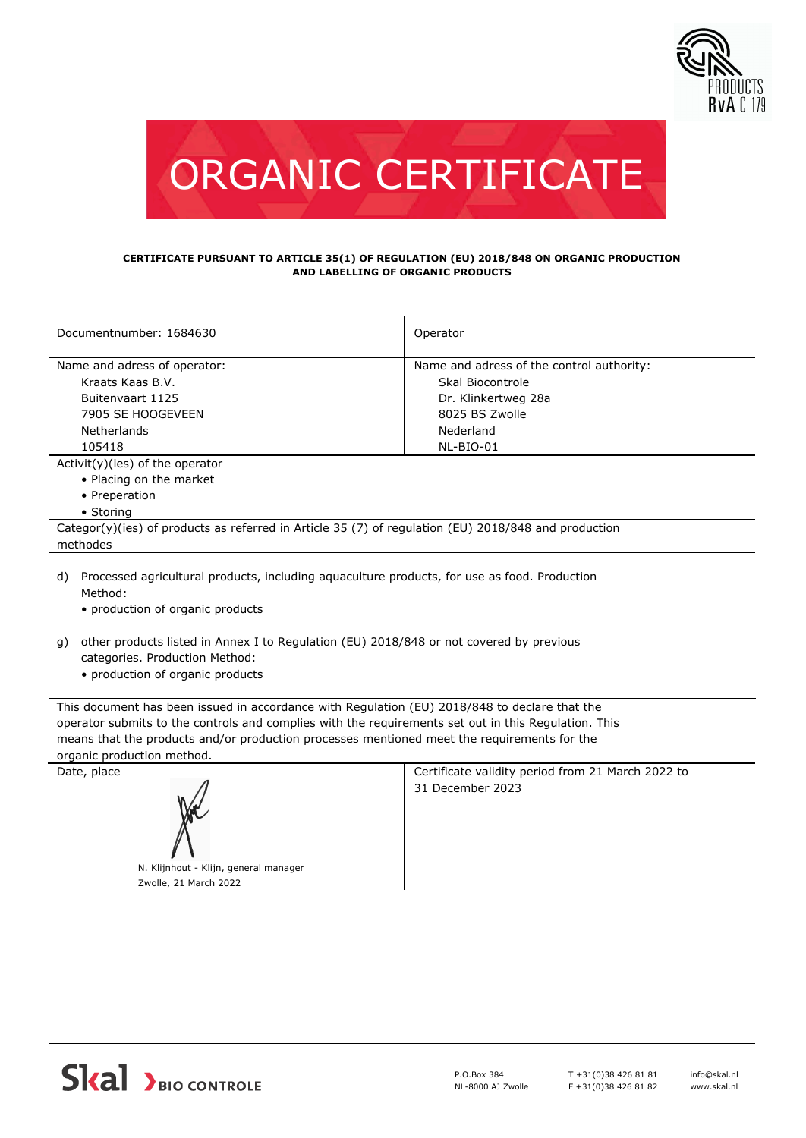



## **CERTIFICATE PURSUANT TO ARTICLE 35(1) OF REGULATION (EU) 2018/848 ON ORGANIC PRODUCTION AND LABELLING OF ORGANIC PRODUCTS**

| Documentnumber: 1684630                                                                              | Operator                                  |  |
|------------------------------------------------------------------------------------------------------|-------------------------------------------|--|
| Name and adress of operator:                                                                         | Name and adress of the control authority: |  |
| Kraats Kaas B.V.                                                                                     | Skal Biocontrole                          |  |
| Buitenvaart 1125                                                                                     | Dr. Klinkertweg 28a                       |  |
| 7905 SE HOOGEVEEN                                                                                    | 8025 BS Zwolle                            |  |
| <b>Netherlands</b>                                                                                   | Nederland                                 |  |
| 105418                                                                                               | NL-BIO-01                                 |  |
| $Activity)(ies)$ of the operator                                                                     |                                           |  |
| • Placing on the market                                                                              |                                           |  |
| • Preperation                                                                                        |                                           |  |
| • Storing                                                                                            |                                           |  |
| Categor(y)(ies) of products as referred in Article 35 (7) of regulation (EU) 2018/848 and production |                                           |  |
| methodes                                                                                             |                                           |  |
| d) Drocessed agricultural products including aguaculture products for use as food Droduction         |                                           |  |

Processed agricultural products, including aquaculture products, for use as food. Production Method: d)

• production of organic products

- other products listed in Annex I to Regulation (EU) 2018/848 or not covered by previous g) categories. Production Method:
	- production of organic products

This document has been issued in accordance with Regulation (EU) 2018/848 to declare that the operator submits to the controls and complies with the requirements set out in this Regulation. This means that the products and/or production processes mentioned meet the requirements for the organic production method.



N. Klijnhout - Klijn, general manager Zwolle, 21 March 2022

Date, place Certificate validity period from 21 March 2022 to 31 December 2023